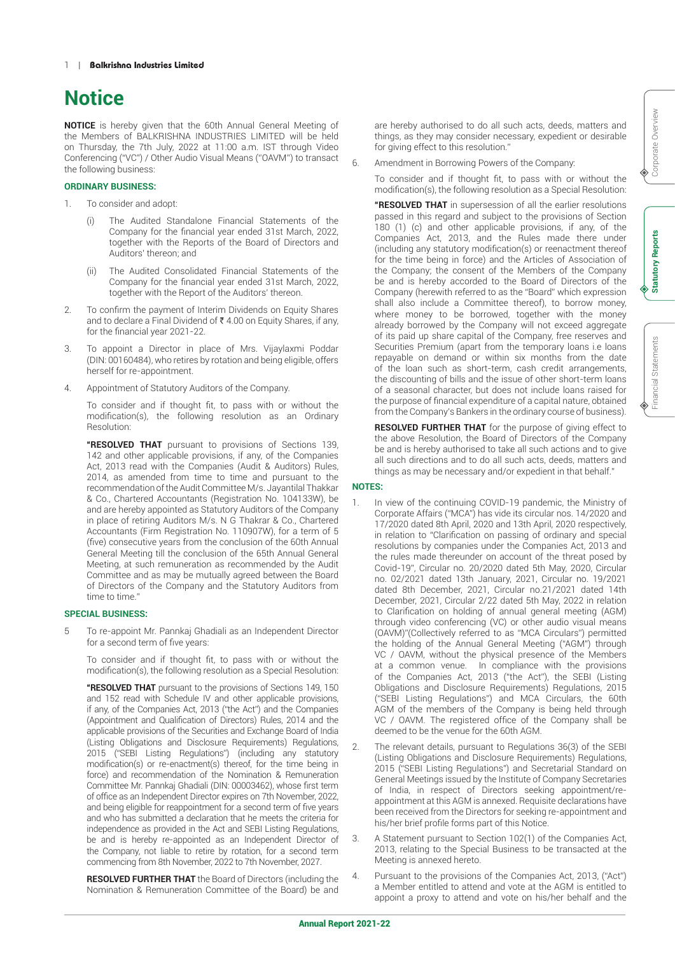# **Notice**

**NOTICE** is hereby given that the 60th Annual General Meeting of the Members of BALKRISHNA INDUSTRIES LIMITED will be held on Thursday, the 7th July, 2022 at 11:00 a.m. IST through Video Conferencing ("VC") / Other Audio Visual Means (''OAVM'') to transact the following business:

#### **ORDINARY BUSINESS:**

- 1. To consider and adopt:
	- The Audited Standalone Financial Statements of the Company for the financial year ended 31st March, 2022, together with the Reports of the Board of Directors and Auditors' thereon; and
	- (ii) The Audited Consolidated Financial Statements of the Company for the financial year ended 31st March, 2022, together with the Report of the Auditors' thereon.
- 2. To confirm the payment of Interim Dividends on Equity Shares and to declare a Final Dividend of  $\bar{\tau}$  4.00 on Equity Shares, if any, for the financial year 2021-22.
- 3. To appoint a Director in place of Mrs. Vijaylaxmi Poddar (DIN: 00160484), who retires by rotation and being eligible, offers herself for re-appointment.
- 4. Appointment of Statutory Auditors of the Company.

To consider and if thought fit, to pass with or without the modification(s), the following resolution as an Ordinary Resolution:

**"RESOLVED THAT** pursuant to provisions of Sections 139, 142 and other applicable provisions, if any, of the Companies Act, 2013 read with the Companies (Audit & Auditors) Rules, 2014, as amended from time to time and pursuant to the recommendation of the Audit Committee M/s. Jayantilal Thakkar & Co., Chartered Accountants (Registration No. 104133W), be and are hereby appointed as Statutory Auditors of the Company in place of retiring Auditors M/s. N G Thakrar & Co., Chartered Accountants (Firm Registration No. 110907W), for a term of 5 (five) consecutive years from the conclusion of the 60th Annual General Meeting till the conclusion of the 65th Annual General Meeting, at such remuneration as recommended by the Audit Committee and as may be mutually agreed between the Board of Directors of the Company and the Statutory Auditors from time to time."

#### **SPECIAL BUSINESS:**

5 To re-appoint Mr. Pannkaj Ghadiali as an Independent Director for a second term of five years:

To consider and if thought fit, to pass with or without the modification(s), the following resolution as a Special Resolution:

 **"RESOLVED THAT** pursuant to the provisions of Sections 149, 150 and 152 read with Schedule IV and other applicable provisions, if any, of the Companies Act, 2013 ("the Act") and the Companies (Appointment and Qualification of Directors) Rules, 2014 and the applicable provisions of the Securities and Exchange Board of India (Listing Obligations and Disclosure Requirements) Regulations, 2015 ("SEBI Listing Regulations") (including any statutory modification(s) or re-enactment(s) thereof, for the time being in force) and recommendation of the Nomination & Remuneration Committee Mr. Pannkaj Ghadiali (DIN: 00003462), whose first term of office as an Independent Director expires on 7th November, 2022, and being eligible for reappointment for a second term of five years and who has submitted a declaration that he meets the criteria for independence as provided in the Act and SEBI Listing Regulations, be and is hereby re-appointed as an Independent Director of the Company, not liable to retire by rotation, for a second term commencing from 8th November, 2022 to 7th November, 2027.

 **RESOLVED FURTHER THAT** the Board of Directors (including the Nomination & Remuneration Committee of the Board) be and are hereby authorised to do all such acts, deeds, matters and things, as they may consider necessary, expedient or desirable for giving effect to this resolution."

6. Amendment in Borrowing Powers of the Company:

To consider and if thought fit, to pass with or without the modification(s), the following resolution as a Special Resolution:

 **"RESOLVED THAT** in supersession of all the earlier resolutions passed in this regard and subject to the provisions of Section 180 (1) (c) and other applicable provisions, if any, of the Companies Act, 2013, and the Rules made there under (including any statutory modification(s) or reenactment thereof for the time being in force) and the Articles of Association of the Company; the consent of the Members of the Company be and is hereby accorded to the Board of Directors of the Company (herewith referred to as the "Board" which expression shall also include a Committee thereof), to borrow money, where money to be borrowed, together with the money already borrowed by the Company will not exceed aggregate of its paid up share capital of the Company, free reserves and Securities Premium (apart from the temporary loans i.e loans repayable on demand or within six months from the date of the loan such as short-term, cash credit arrangements, the discounting of bills and the issue of other short-term loans of a seasonal character, but does not include loans raised for the purpose of financial expenditure of a capital nature, obtained from the Company's Bankers in the ordinary course of business).

 **RESOLVED FURTHER THAT** for the purpose of giving effect to the above Resolution, the Board of Directors of the Company be and is hereby authorised to take all such actions and to give all such directions and to do all such acts, deeds, matters and things as may be necessary and/or expedient in that behalf."

#### **NOTES:**

- In view of the continuing COVID-19 pandemic, the Ministry of Corporate Affairs ("MCA") has vide its circular nos. 14/2020 and 17/2020 dated 8th April, 2020 and 13th April, 2020 respectively, in relation to "Clarification on passing of ordinary and special resolutions by companies under the Companies Act, 2013 and the rules made thereunder on account of the threat posed by Covid-19", Circular no. 20/2020 dated 5th May, 2020, Circular no. 02/2021 dated 13th January, 2021, Circular no. 19/2021 dated 8th December, 2021, Circular no.21/2021 dated 14th December, 2021, Circular 2/22 dated 5th May, 2022 in relation to Clarification on holding of annual general meeting (AGM) through video conferencing (VC) or other audio visual means (OAVM)"(Collectively referred to as "MCA Circulars") permitted the holding of the Annual General Meeting ("AGM") through VC / OAVM, without the physical presence of the Members at a common venue. In compliance with the provisions of the Companies Act, 2013 ("the Act"), the SEBI (Listing Obligations and Disclosure Requirements) Regulations, 2015 ("SEBI Listing Regulations") and MCA Circulars, the 60th AGM of the members of the Company is being held through VC / OAVM. The registered office of the Company shall be deemed to be the venue for the 60th AGM.
- 2. The relevant details, pursuant to Regulations 36(3) of the SEBI (Listing Obligations and Disclosure Requirements) Regulations, 2015 ("SEBI Listing Regulations") and Secretarial Standard on General Meetings issued by the Institute of Company Secretaries of India, in respect of Directors seeking appointment/reappointment at this AGM is annexed. Requisite declarations have been received from the Directors for seeking re-appointment and his/her brief profile forms part of this Notice.
- 3. A Statement pursuant to Section 102(1) of the Companies Act, 2013, relating to the Special Business to be transacted at the Meeting is annexed hereto.
- 4. Pursuant to the provisions of the Companies Act, 2013, ("Act") a Member entitled to attend and vote at the AGM is entitled to appoint a proxy to attend and vote on his/her behalf and the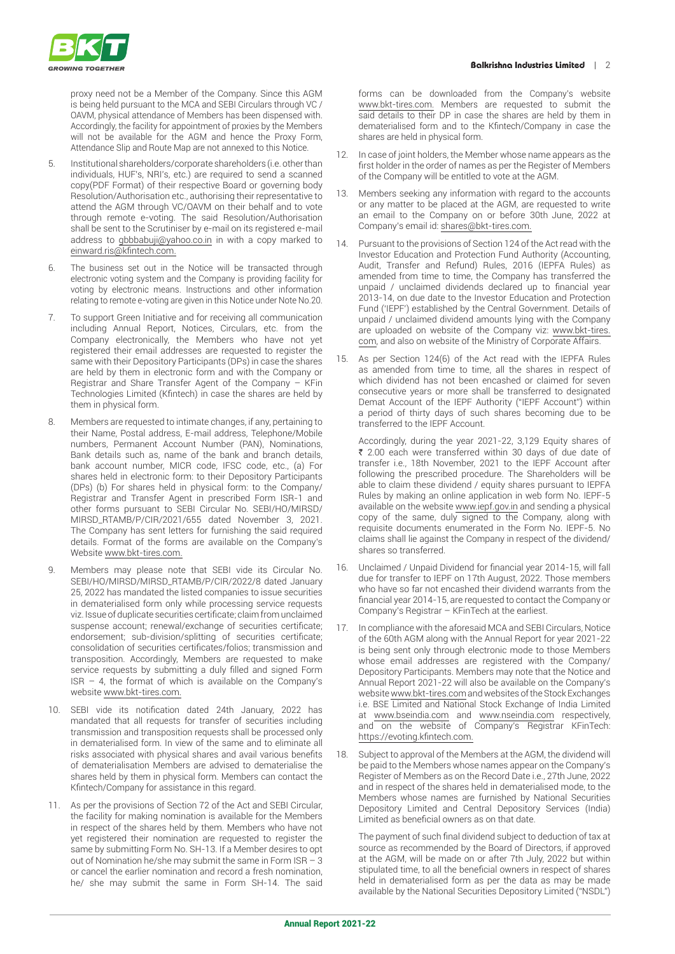

proxy need not be a Member of the Company. Since this AGM is being held pursuant to the MCA and SEBI Circulars through VC / OAVM, physical attendance of Members has been dispensed with. Accordingly, the facility for appointment of proxies by the Members will not be available for the AGM and hence the Proxy Form, Attendance Slip and Route Map are not annexed to this Notice.

- 5. Institutional shareholders/corporate shareholders (i.e. other than individuals, HUF's, NRI's, etc.) are required to send a scanned copy(PDF Format) of their respective Board or governing body Resolution/Authorisation etc., authorising their representative to attend the AGM through VC/OAVM on their behalf and to vote through remote e-voting. The said Resolution/Authorisation shall be sent to the Scrutiniser by e-mail on its registered e-mail address to gbbbabuji@yahoo.co.in in with a copy marked to einward.ris@kfintech.com.
- 6. The business set out in the Notice will be transacted through electronic voting system and the Company is providing facility for voting by electronic means. Instructions and other information relating to remote e-voting are given in this Notice under Note No.20.
- 7. To support Green Initiative and for receiving all communication including Annual Report, Notices, Circulars, etc. from the Company electronically, the Members who have not yet registered their email addresses are requested to register the same with their Depository Participants (DPs) in case the shares are held by them in electronic form and with the Company or Registrar and Share Transfer Agent of the Company – KFin Technologies Limited (Kfintech) in case the shares are held by them in physical form.
- 8. Members are requested to intimate changes, if any, pertaining to their Name, Postal address, E-mail address, Telephone/Mobile numbers, Permanent Account Number (PAN), Nominations, Bank details such as, name of the bank and branch details, bank account number, MICR code, IFSC code, etc., (a) For shares held in electronic form: to their Depository Participants (DPs) (b) For shares held in physical form: to the Company/ Registrar and Transfer Agent in prescribed Form ISR-1 and other forms pursuant to SEBI Circular No. SEBI/HO/MIRSD/ MIRSD\_RTAMB/P/CIR/2021/655 dated November 3, 2021. The Company has sent letters for furnishing the said required details. Format of the forms are available on the Company's Website www.bkt-tires.com.
- 9. Members may please note that SEBI vide its Circular No. SEBI/HO/MIRSD/MIRSD\_RTAMB/P/CIR/2022/8 dated January 25, 2022 has mandated the listed companies to issue securities in dematerialised form only while processing service requests viz. Issue of duplicate securities certificate; claim from unclaimed suspense account; renewal/exchange of securities certificate; endorsement; sub-division/splitting of securities certificate; consolidation of securities certificates/folios; transmission and transposition. Accordingly, Members are requested to make service requests by submitting a duly filled and signed Form  $ISR - 4$ , the format of which is available on the Company's website www.bkt-tires.com.
- 10. SEBI vide its notification dated 24th January, 2022 has mandated that all requests for transfer of securities including transmission and transposition requests shall be processed only in dematerialised form. In view of the same and to eliminate all risks associated with physical shares and avail various benefits of dematerialisation Members are advised to dematerialise the shares held by them in physical form. Members can contact the Kfintech/Company for assistance in this regard.
- 11. As per the provisions of Section 72 of the Act and SEBI Circular, the facility for making nomination is available for the Members in respect of the shares held by them. Members who have not yet registered their nomination are requested to register the same by submitting Form No. SH-13. If a Member desires to opt out of Nomination he/she may submit the same in Form ISR – 3 or cancel the earlier nomination and record a fresh nomination, he/ she may submit the same in Form SH-14. The said

forms can be downloaded from the Company's website www.bkt-tires.com. Members are requested to submit the said details to their DP in case the shares are held by them in dematerialised form and to the Kfintech/Company in case the shares are held in physical form.

- 12. In case of joint holders, the Member whose name appears as the first holder in the order of names as per the Register of Members of the Company will be entitled to vote at the AGM.
- Members seeking any information with regard to the accounts or any matter to be placed at the AGM, are requested to write an email to the Company on or before 30th June, 2022 at Company's email id: shares@bkt-tires.com.
- 14. Pursuant to the provisions of Section 124 of the Act read with the Investor Education and Protection Fund Authority (Accounting, Audit, Transfer and Refund) Rules, 2016 (IEPFA Rules) as amended from time to time, the Company has transferred the unpaid / unclaimed dividends declared up to financial year 2013-14, on due date to the Investor Education and Protection Fund ('IEPF') established by the Central Government. Details of unpaid / unclaimed dividend amounts lying with the Company are uploaded on website of the Company viz: www.bkt-tires. com, and also on website of the Ministry of Corporate Affairs.
- 15. As per Section 124(6) of the Act read with the IEPFA Rules as amended from time to time, all the shares in respect of which dividend has not been encashed or claimed for seven consecutive years or more shall be transferred to designated Demat Account of the IEPF Authority ("IEPF Account") within a period of thirty days of such shares becoming due to be transferred to the IEPF Account.

Accordingly, during the year 2021-22, 3,129 Equity shares of ₹ 2.00 each were transferred within 30 days of due date of transfer i.e., 18th November, 2021 to the IEPF Account after following the prescribed procedure. The Shareholders will be able to claim these dividend / equity shares pursuant to IEPFA Rules by making an online application in web form No. IEPF-5 available on the website www.iepf.gov.in and sending a physical copy of the same, duly signed to the Company, along with requisite documents enumerated in the Form No. IEPF-5. No claims shall lie against the Company in respect of the dividend/ shares so transferred.

- 16. Unclaimed / Unpaid Dividend for financial year 2014-15, will fall due for transfer to IEPF on 17th August, 2022. Those members who have so far not encashed their dividend warrants from the financial year 2014-15, are requested to contact the Company or Company's Registrar – KFinTech at the earliest.
- In compliance with the aforesaid MCA and SEBI Circulars, Notice of the 60th AGM along with the Annual Report for year 2021-22 is being sent only through electronic mode to those Members whose email addresses are registered with the Company/ Depository Participants. Members may note that the Notice and Annual Report 2021-22 will also be available on the Company's website www.bkt-tires.com and websites of the Stock Exchanges i.e. BSE Limited and National Stock Exchange of India Limited at www.bseindia.com and www.nseindia.com respectively, and on the website of Company's Registrar KFinTech: https://evoting.kfintech.com.
- Subject to approval of the Members at the AGM, the dividend will be paid to the Members whose names appear on the Company's Register of Members as on the Record Date i.e., 27th June, 2022 and in respect of the shares held in dematerialised mode, to the Members whose names are furnished by National Securities Depository Limited and Central Depository Services (India) Limited as beneficial owners as on that date.

The payment of such final dividend subject to deduction of tax at source as recommended by the Board of Directors, if approved at the AGM, will be made on or after 7th July, 2022 but within stipulated time, to all the beneficial owners in respect of shares held in dematerialised form as per the data as may be made available by the National Securities Depository Limited ("NSDL")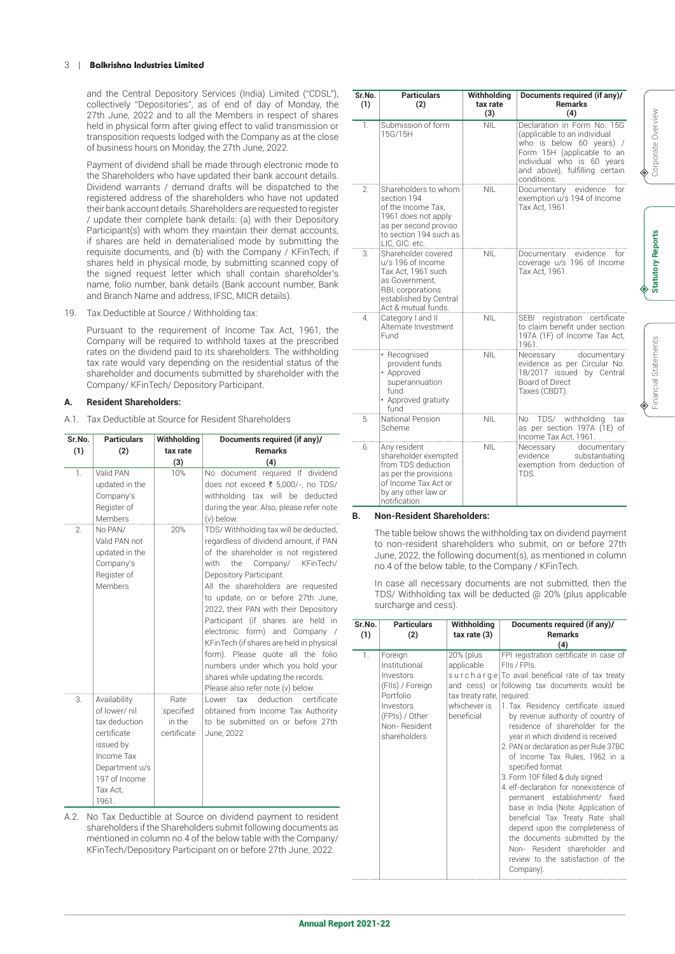#### 3 | **Balkrishna Industries Limited**

and the Central Depository Services (India) Limited ("CDSL"), collectively "Depositories", as of end of day of Monday, the 27th June, 2022 and to all the Members in respect of shares held in physical form after giving effect to valid transmission or transposition requests lodged with the Company as at the close of business hours on Monday, the 27th June, 2022.

Payment of dividend shall be made through electronic mode to the Shareholders who have updated their bank account details. Dividend warrants / demand drafts will be dispatched to the registered address of the shareholders who have not updated their bank account details. Shareholders are requested to register / update their complete bank details: (a) with their Depository Participant(s) with whom they maintain their demat accounts, if shares are held in dematerialised mode by submitting the requisite documents, and (b) with the Company / KFinTech, if shares held in physical mode, by submitting scanned copy of the signed request letter which shall contain shareholder's name, folio number, bank details (Bank account number, Bank and Branch Name and address, IFSC, MICR details).

19. Tax Deductible at Source / Withholding tax:

Pursuant to the requirement of Income Tax Act, 1961, the Company will be required to withhold taxes at the prescribed rates on the dividend paid to its shareholders. The withholding tax rate would vary depending on the residential status of the shareholder and documents submitted by shareholder with the Company/ KFinTech/ Depository Participant.

# **A. Resident Shareholders:**

A.1. Tax Deductible at Source for Resident Shareholders

| Sr.No.<br>(1)  | <b>Particulars</b><br>(2)                                                                                                                        | Withholding<br>tax rate<br>(3)             | Documents required (if any)/<br><b>Remarks</b><br>(4)                                                                                                                                                                                                                                                                                                                                                                                                                                                                                                                                   |
|----------------|--------------------------------------------------------------------------------------------------------------------------------------------------|--------------------------------------------|-----------------------------------------------------------------------------------------------------------------------------------------------------------------------------------------------------------------------------------------------------------------------------------------------------------------------------------------------------------------------------------------------------------------------------------------------------------------------------------------------------------------------------------------------------------------------------------------|
| $\mathbf{1}$ . | Valid PAN<br>updated in the<br>Company's<br>Register of<br>Members                                                                               | 10%                                        | document required If dividend<br>No.<br>does not exceed ₹ 5,000/-, no TDS/<br>withholding tax will be deducted<br>during the year. Also, please refer note<br>(v) below.                                                                                                                                                                                                                                                                                                                                                                                                                |
| 2.             | No PAN/<br>Valid PAN not<br>updated in the<br>Company's<br>Register of<br>Members                                                                | 20%                                        | TDS/Withholding tax will be deducted,<br>regardless of dividend amount, if PAN<br>of the shareholder is not registered<br>KFinTech/<br>with<br>the<br>Company/<br>Depository Participant.<br>All the shareholders are requested<br>to update, on or before 27th June,<br>2022, their PAN with their Depository<br>Participant (if shares are held in<br>electronic form) and Company /<br>KFinTech (if shares are held in physical<br>form). Please quote all the folio<br>numbers under which you hold your<br>shares while updating the records.<br>Please also refer note (v) below. |
| 3.             | Availability<br>of lower/ nil<br>tax deduction<br>certificate<br>issued by<br>Income Tax<br>Department u/s<br>197 of Income<br>Tax Act.<br>1961. | Rate<br>specified<br>in the<br>certificate | deduction<br>certificate<br>tax<br>l ower<br>obtained from Income Tax Authority<br>to be submitted on or before 27th<br>June, 2022                                                                                                                                                                                                                                                                                                                                                                                                                                                      |

A.2. No Tax Deductible at Source on dividend payment to resident shareholders if the Shareholders submit following documents as mentioned in column no.4 of the below table with the Company/ KFinTech/Depository Participant on or before 27th June, 2022.

| Sr.No.<br>(1)         | Particulars<br>(2)                                                                                                                                     | Withholding<br>tax rate<br>(3) | Documents required (if any)/<br>Remarks<br>(4)                                                                                                                                                       |
|-----------------------|--------------------------------------------------------------------------------------------------------------------------------------------------------|--------------------------------|------------------------------------------------------------------------------------------------------------------------------------------------------------------------------------------------------|
| 1.                    | Submission of form<br>15G/15H                                                                                                                          | <b>NIL</b>                     | Declaration in Form No. 15G<br>(applicable to an individual<br>who is below 60 years) /<br>Form 15H (applicable to an<br>individual who is 60 years<br>and above), fulfilling certain<br>conditions. |
| $\mathcal{D}_{\cdot}$ | Shareholders to whom<br>section 194<br>of the Income Tax,<br>1961 does not apply<br>as per second proviso<br>to section 194 such as<br>LIC, GIC. etc.  | NII                            | Documentary evidence<br>tor<br>exemption u/s 194 of Income<br>Tax Act, 1961.                                                                                                                         |
| 3.                    | Shareholder covered<br>u/s 196 of Income<br>Tax Act, 1961 such<br>as Government,<br>RBI, corporations<br>established by Central<br>Act & mutual funds. | NIL                            | Documentary evidence for<br>coverage u/s 196 of Income<br>Tax Act, 1961.                                                                                                                             |
| 4.                    | Category I and II<br>Alternate Investment<br>Fund                                                                                                      | <b>NIL</b>                     | SEBI registration certificate<br>to claim benefit under section<br>197A (1F) of Income Tax Act,<br>1961.                                                                                             |
|                       | · Recognised<br>provident funds<br>• Approved<br>superannuation<br>fund<br>• Approved gratuity<br>fund                                                 | NII                            | Necessary<br>documentary<br>evidence as per Circular No.<br>18/2017 issued by Central<br>Board of Direct<br>Taxes (CBDT).                                                                            |
| 5.                    | National Pension<br>Scheme                                                                                                                             | NII                            | No TDS/ withholding tax<br>as per section 197A (1E) of<br>Income Tax Act, 1961.                                                                                                                      |
| 6.                    | Any resident<br>shareholder exempted<br>from TDS deduction<br>as per the provisions<br>of Income Tax Act or<br>by any other law or<br>notification     | <b>NIL</b>                     | Necessary documentary<br>evidence<br>substantiating<br>exemption from deduction of<br>TDS.                                                                                                           |

#### **B. Non-Resident Shareholders:**

The table below shows the withholding tax on dividend payment to non-resident shareholders who submit, on or before 27th June, 2022, the following document(s), as mentioned in column no.4 of the below table, to the Company / KFinTech.

 In case all necessary documents are not submitted, then the TDS/ Withholding tax will be deducted @ 20% (plus applicable surcharge and cess).

| Sr.No.<br>(1) | <b>Particulars</b><br>(2)                                                                                                             | Withholding<br>tax rate (3)                                                         | Documents required (if any)/<br><b>Remarks</b><br>(4)                                                                                                                                                                                                                                                                                                                                                                                                                                                                                                                                                                                                                                                                                                                   |
|---------------|---------------------------------------------------------------------------------------------------------------------------------------|-------------------------------------------------------------------------------------|-------------------------------------------------------------------------------------------------------------------------------------------------------------------------------------------------------------------------------------------------------------------------------------------------------------------------------------------------------------------------------------------------------------------------------------------------------------------------------------------------------------------------------------------------------------------------------------------------------------------------------------------------------------------------------------------------------------------------------------------------------------------------|
| 1.            | Foreign<br>Institutional<br>Investors<br>(FIIs) / Foreign<br>Portfolio<br>Investors<br>(FPIs) / Other<br>Non-Resident<br>shareholders | 20% (plus<br>applicable<br>tax treaty rate, required:<br>whichever is<br>beneficial | FPI registration certificate in case of<br>Fils / FPIs.<br>surcharge To avail beneficial rate of tax treaty<br>and cess) or following tax documents would be<br>1. Tax Residency certificate issued<br>by revenue authority of country of<br>residence of shareholder for the<br>year in which dividend is received<br>2. PAN or declaration as per Rule 37BC<br>of Income Tax Rules, 1962 in a<br>specified format.<br>3. Form 10F filled & duly signed<br>4. elf-declaration for nonexistence of<br>permanent establishment/ fixed<br>base in India (Note: Application of<br>beneficial Tax Treaty Rate shall<br>depend upon the completeness of<br>the documents submitted by the<br>Non- Resident shareholder and<br>review to the satisfaction of the<br>Company). |

Corporate Overview Corporate Overview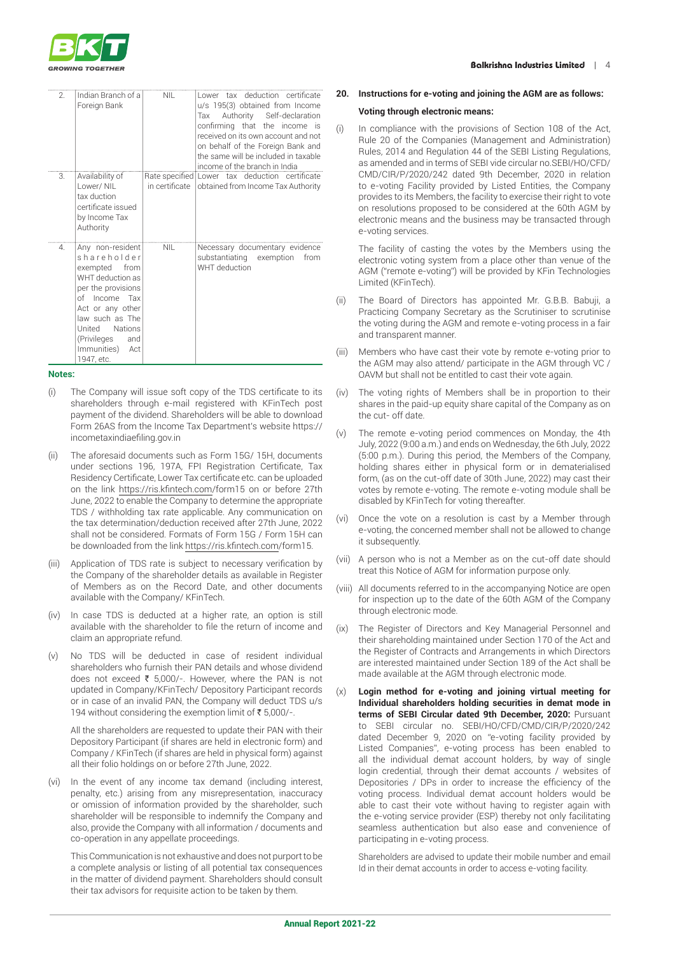

| $\mathfrak{D}$ | Indian Branch of a<br>Foreign Bank                                                                                                                                                                                             | NII.           | Lower tax deduction certificate<br>u/s 195(3) obtained from Income<br>Authority Self-declaration<br>Tax<br>confirming that the income is<br>received on its own account and not<br>on behalf of the Foreign Bank and<br>the same will be included in taxable<br>income of the branch in India |  |
|----------------|--------------------------------------------------------------------------------------------------------------------------------------------------------------------------------------------------------------------------------|----------------|-----------------------------------------------------------------------------------------------------------------------------------------------------------------------------------------------------------------------------------------------------------------------------------------------|--|
| 3.             | Availability of<br>I ower/ NII<br>tax duction<br>certificate issued<br>by Income Tax<br>Authority                                                                                                                              | in certificate | Rate specified Lower tax deduction certificate<br>obtained from Income Tax Authority                                                                                                                                                                                                          |  |
| 4.             | Any non-resident<br>shareholder<br>exempted<br>from<br>WHT deduction as<br>per the provisions<br>of Income Tax<br>Act or any other<br>law such as The<br>United Nations<br>(Privileges<br>and<br>Immunities) Act<br>1947, etc. | <b>NII</b>     | Necessary documentary evidence<br>substantiating exemption<br>from<br>WHT deduction                                                                                                                                                                                                           |  |

#### **Notes:**

- (i) The Company will issue soft copy of the TDS certificate to its shareholders through e-mail registered with KFinTech post payment of the dividend. Shareholders will be able to download Form 26AS from the Income Tax Department's website https:// incometaxindiaefiling.gov.in
- (ii) The aforesaid documents such as Form 15G/ 15H, documents under sections 196, 197A, FPI Registration Certificate, Tax Residency Certificate, Lower Tax certificate etc. can be uploaded on the link https://ris.kfintech.com/form15 on or before 27th June, 2022 to enable the Company to determine the appropriate TDS / withholding tax rate applicable. Any communication on the tax determination/deduction received after 27th June, 2022 shall not be considered. Formats of Form 15G / Form 15H can be downloaded from the link https://ris.kfintech.com/form15.
- (iii) Application of TDS rate is subject to necessary verification by the Company of the shareholder details as available in Register of Members as on the Record Date, and other documents available with the Company/ KFinTech.
- (iv) In case TDS is deducted at a higher rate, an option is still available with the shareholder to file the return of income and claim an appropriate refund.
- (v) No TDS will be deducted in case of resident individual shareholders who furnish their PAN details and whose dividend does not exceed  $\bar{\tau}$  5,000/-. However, where the PAN is not updated in Company/KFinTech/ Depository Participant records or in case of an invalid PAN, the Company will deduct TDS u/s 194 without considering the exemption limit of  $\bar{\tau}$  5,000/-.

All the shareholders are requested to update their PAN with their Depository Participant (if shares are held in electronic form) and Company / KFinTech (if shares are held in physical form) against all their folio holdings on or before 27th June, 2022.

(vi) In the event of any income tax demand (including interest, penalty, etc.) arising from any misrepresentation, inaccuracy or omission of information provided by the shareholder, such shareholder will be responsible to indemnify the Company and also, provide the Company with all information / documents and co-operation in any appellate proceedings.

This Communication is not exhaustive and does not purport to be a complete analysis or listing of all potential tax consequences in the matter of dividend payment. Shareholders should consult their tax advisors for requisite action to be taken by them.

#### **20. Instructions for e-voting and joining the AGM are as follows:**

#### **Voting through electronic means:**

(i) In compliance with the provisions of Section 108 of the Act, Rule 20 of the Companies (Management and Administration) Rules, 2014 and Regulation 44 of the SEBI Listing Regulations, as amended and in terms of SEBI vide circular no.SEBI/HO/CFD/ CMD/CIR/P/2020/242 dated 9th December, 2020 in relation to e-voting Facility provided by Listed Entities, the Company provides to its Members, the facility to exercise their right to vote on resolutions proposed to be considered at the 60th AGM by electronic means and the business may be transacted through e-voting services.

 The facility of casting the votes by the Members using the electronic voting system from a place other than venue of the AGM ("remote e-voting") will be provided by KFin Technologies Limited (KFinTech).

- (ii) The Board of Directors has appointed Mr. G.B.B. Babuji, a Practicing Company Secretary as the Scrutiniser to scrutinise the voting during the AGM and remote e-voting process in a fair and transparent manner.
- (iii) Members who have cast their vote by remote e-voting prior to the AGM may also attend/ participate in the AGM through VC / OAVM but shall not be entitled to cast their vote again.
- (iv) The voting rights of Members shall be in proportion to their shares in the paid-up equity share capital of the Company as on the cut- off date.
- (v) The remote e-voting period commences on Monday, the 4th July, 2022 (9:00 a.m.) and ends on Wednesday, the 6th July, 2022 (5:00 p.m.). During this period, the Members of the Company, holding shares either in physical form or in dematerialised form, (as on the cut-off date of 30th June, 2022) may cast their votes by remote e-voting. The remote e-voting module shall be disabled by KFinTech for voting thereafter.
- (vi) Once the vote on a resolution is cast by a Member through e-voting, the concerned member shall not be allowed to change it subsequently.
- (vii) A person who is not a Member as on the cut-off date should treat this Notice of AGM for information purpose only.
- (viii) All documents referred to in the accompanying Notice are open for inspection up to the date of the 60th AGM of the Company through electronic mode.
- (ix) The Register of Directors and Key Managerial Personnel and their shareholding maintained under Section 170 of the Act and the Register of Contracts and Arrangements in which Directors are interested maintained under Section 189 of the Act shall be made available at the AGM through electronic mode.
- (x) **Login method for e-voting and joining virtual meeting for Individual shareholders holding securities in demat mode in terms of SEBI Circular dated 9th December, 2020:** Pursuant to SEBI circular no. SEBI/HO/CFD/CMD/CIR/P/2020/242 dated December 9, 2020 on "e-voting facility provided by Listed Companies", e-voting process has been enabled to all the individual demat account holders, by way of single login credential, through their demat accounts / websites of Depositories / DPs in order to increase the efficiency of the voting process. Individual demat account holders would be able to cast their vote without having to register again with the e-voting service provider (ESP) thereby not only facilitating seamless authentication but also ease and convenience of participating in e-voting process.

 Shareholders are advised to update their mobile number and email Id in their demat accounts in order to access e-voting facility.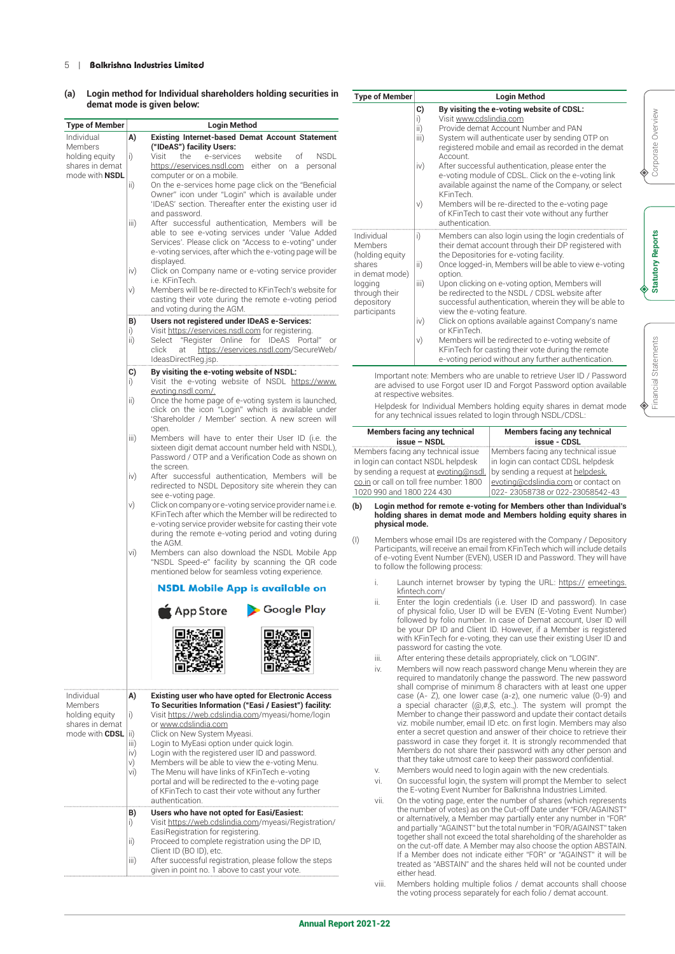#### 5 | **Balkrishna Industries Limited**

#### **(a) Login method for Individual shareholders holding securities in demat mode is given below:**

| <b>Type of Member</b> | Login Method |                                                                                                              |  |  |
|-----------------------|--------------|--------------------------------------------------------------------------------------------------------------|--|--|
| Individual<br>Members | A)           | <b>Existing Internet-based Demat Account Statement</b><br>("IDeAS") facility Users:                          |  |  |
| holding equity        | i)           | Visit<br>the<br>e-services<br>website<br>of<br>NSDL                                                          |  |  |
| shares in demat       |              | https://eservices.nsdl.com<br>either on<br>personal<br>a                                                     |  |  |
| mode with <b>NSDL</b> |              | computer or on a mobile.                                                                                     |  |  |
|                       | ii)          | On the e-services home page click on the "Beneficial                                                         |  |  |
|                       |              | Owner" icon under "Login" which is available under<br>'IDeAS' section. Thereafter enter the existing user id |  |  |
|                       |              | and password.                                                                                                |  |  |
|                       | iii)         | After successful authentication, Members will be                                                             |  |  |
|                       |              | able to see e-voting services under 'Value Added                                                             |  |  |
|                       |              | Services'. Please click on "Access to e-voting" under                                                        |  |  |
|                       |              | e-voting services, after which the e-voting page will be                                                     |  |  |
|                       |              | displayed.                                                                                                   |  |  |
|                       | iv)          | Click on Company name or e-voting service provider<br>i.e. KFinTech.                                         |  |  |
|                       | v)           | Members will be re-directed to KFinTech's website for                                                        |  |  |
|                       |              | casting their vote during the remote e-voting period                                                         |  |  |
|                       |              | and voting during the AGM.                                                                                   |  |  |
|                       | B)           | Users not registered under IDeAS e-Services:                                                                 |  |  |
|                       | i)           | Visit https://eservices.nsdl.com for registering.                                                            |  |  |
|                       | ii)          | "Register Online for IDeAS Portal" or<br>Select                                                              |  |  |
|                       |              | https://eservices.nsdl.com/SecureWeb/<br>click<br>at                                                         |  |  |
|                       |              | IdeasDirectReg.jsp.                                                                                          |  |  |
|                       | C)           | By visiting the e-voting website of NSDL:                                                                    |  |  |
|                       | i)           | Visit the e-voting website of NSDL https://www.                                                              |  |  |
|                       |              | evoting.nsdl.com/.                                                                                           |  |  |
|                       | ii)          | Once the home page of e-voting system is launched,<br>click on the icon "Login" which is available under     |  |  |
|                       |              | 'Shareholder / Member' section. A new screen will                                                            |  |  |
|                       |              | open.                                                                                                        |  |  |
|                       | iii)         | Members will have to enter their User ID (i.e. the                                                           |  |  |
|                       |              | sixteen digit demat account number held with NSDL),                                                          |  |  |
|                       |              | Password / OTP and a Verification Code as shown on                                                           |  |  |
|                       |              | the screen.                                                                                                  |  |  |
|                       | iv)          | After successful authentication, Members will be                                                             |  |  |
|                       |              | redirected to NSDL Depository site wherein they can<br>see e-voting page.                                    |  |  |
|                       | v)           | Click on company or e-voting service provider name i.e.                                                      |  |  |
|                       |              | KFinTech after which the Member will be redirected to                                                        |  |  |
|                       |              | e-voting service provider website for casting their vote                                                     |  |  |
|                       |              | during the remote e-voting period and voting during                                                          |  |  |
|                       |              | the AGM.                                                                                                     |  |  |
|                       | vi)          | Members can also download the NSDL Mobile App                                                                |  |  |
|                       |              | "NSDL Speed-e" facility by scanning the QR code<br>mentioned below for seamless voting experience.           |  |  |
|                       |              | <b>NSDL Mobile App is available on</b>                                                                       |  |  |
|                       |              | Google Play<br>App Store                                                                                     |  |  |
|                       |              |                                                                                                              |  |  |
|                       |              |                                                                                                              |  |  |
|                       |              |                                                                                                              |  |  |
|                       |              |                                                                                                              |  |  |
|                       |              |                                                                                                              |  |  |
|                       |              |                                                                                                              |  |  |
| Individual            | A)           | <b>Existing user who have opted for Electronic Access</b>                                                    |  |  |
| <b>Members</b>        |              | To Securities Information ("Easi / Easiest") facility:                                                       |  |  |
| holding equity        | i)           | Visit https://web.cdslindia.com/myeasi/home/login                                                            |  |  |
| shares in demat       |              | or www.cdslindia.com                                                                                         |  |  |
| mode with CDSL (ii)   |              | Click on New System Myeasi.                                                                                  |  |  |
|                       | iii)<br>iv)  | Login to MyEasi option under quick login.<br>Login with the registered user ID and password.                 |  |  |
|                       | v)           | Members will be able to view the e-voting Menu.                                                              |  |  |
|                       | vi)          | The Menu will have links of KFinTech e-voting                                                                |  |  |
|                       |              | portal and will be redirected to the e-voting page                                                           |  |  |
|                       |              | of KFinTech to cast their vote without any further                                                           |  |  |
|                       |              | authentication.                                                                                              |  |  |
|                       | B)           | Users who have not opted for Easi/Easiest:                                                                   |  |  |
|                       | i)           | Visit https://web.cdslindia.com/myeasi/Registration/                                                         |  |  |
|                       |              |                                                                                                              |  |  |
|                       |              | EasiRegistration for registering.                                                                            |  |  |
|                       | ii)          | Proceed to complete registration using the DP ID,                                                            |  |  |
|                       |              | Client ID (BO ID), etc.                                                                                      |  |  |
|                       | iii)         | After successful registration, please follow the steps<br>given in point no. 1 above to cast your vote.      |  |  |

| <b>Type of Member</b>                                                                                                          | <b>Login Method</b>                                                                                                                                                                                                                                                                                                                                                                                                                                                                                                                                                                                                                                                                              |
|--------------------------------------------------------------------------------------------------------------------------------|--------------------------------------------------------------------------------------------------------------------------------------------------------------------------------------------------------------------------------------------------------------------------------------------------------------------------------------------------------------------------------------------------------------------------------------------------------------------------------------------------------------------------------------------------------------------------------------------------------------------------------------------------------------------------------------------------|
|                                                                                                                                | C)<br>By visiting the e-voting website of CDSL:<br>Visit www.cdslindia.com<br>i)<br>$\overline{ii}$<br>Provide demat Account Number and PAN<br>System will authenticate user by sending OTP on<br>iii)<br>registered mobile and email as recorded in the demat<br>Account.<br>After successful authentication, please enter the<br>iv)<br>e-voting module of CDSL. Click on the e-voting link<br>available against the name of the Company, or select<br><b>KFinTech</b><br>v)<br>Members will be re-directed to the e-voting page<br>of KFinTech to cast their vote without any further<br>authentication.                                                                                      |
| Individual<br>Members<br>(holding equity<br>shares<br>in demat mode)<br>logging<br>through their<br>depository<br>participants | Members can also login using the login credentials of<br>i)<br>their demat account through their DP registered with<br>the Depositories for e-voting facility.<br>Once logged-in, Members will be able to view e-voting<br>ii)<br>option.<br>Upon clicking on e-voting option, Members will<br>iii)<br>be redirected to the NSDL / CDSL website after<br>successful authentication, wherein they will be able to<br>view the e-voting feature.<br>Click on options available against Company's name<br>iv)<br>or KFinTech<br>v)<br>Members will be redirected to e-voting website of<br>KFinTech for casting their vote during the remote<br>e-voting period without any further authentication. |

Important note: Members who are unable to retrieve User ID / Password are advised to use Forgot user ID and Forgot Password option available at respective websites

Helpdesk for Individual Members holding equity shares in demat mode for any technical issues related to login through NSDL/CDSL:

| <b>Members facing any technical</b>     | <b>Members facing any technical</b>                                       |  |
|-----------------------------------------|---------------------------------------------------------------------------|--|
| issue – NSDL                            | issue - CDSL                                                              |  |
| Members facing any technical issue      | Members facing any technical issue                                        |  |
| in login can contact NSDL helpdesk      | in login can contact CDSL helpdesk                                        |  |
| by sending a request at evoting@nsdl.   | by sending a request at helpdesk.                                         |  |
| co.in or call on toll free number: 1800 | evoting@cdslindia.com or contact on                                       |  |
| 1020 990 and 1800 224 430               | 022-23058738 or 022-23058542-43                                           |  |
|                                         | (b) I gain mothod for romato a vating for Momboro other than Individual's |  |

#### **(b) Login method for remote e-voting for Members other than Individual's holding shares in demat mode and Members holding equity shares in physical mode.**

- (I) Members whose email IDs are registered with the Company / Depository Participants, will receive an email from KFinTech which will include details of e-voting Event Number (EVEN), USER ID and Password. They will have to follow the following process:
	- i. Launch internet browser by typing the URL: https:// emeetings. kfintech.com/
	- ii. Enter the login credentials (i.e. User ID and password). In case of physical folio, User ID will be EVEN (E-Voting Event Number) followed by folio number. In case of Demat account, User ID will be your DP ID and Client ID. However, if a Member is registered with KFinTech for e-voting, they can use their existing User ID and password for casting the vote.
	- iii. After entering these details appropriately, click on "LOGIN"
	- iv. Members will now reach password change Menu wherein they are required to mandatorily change the password. The new password shall comprise of minimum 8 characters with at least one upper case (A- Z), one lower case (a-z), one numeric value (0-9) and a special character (@,#,\$, etc.,). The system will prompt the Member to change their password and update their contact details viz. mobile number, email ID etc. on first login. Members may also enter a secret question and answer of their choice to retrieve their password in case they forget it. It is strongly recommended that Members do not share their password with any other person and that they take utmost care to keep their password confidential.
	- v. Members would need to login again with the new credentials.
	- vi. On successful login, the system will prompt the Member to select the E-voting Event Number for Balkrishna Industries Limited.
	- vii. On the voting page, enter the number of shares (which represents the number of votes) as on the Cut-off Date under "FOR/AGAINST" or alternatively, a Member may partially enter any number in "FOR" and partially "AGAINST" but the total number in "FOR/AGAINST" taken together shall not exceed the total shareholding of the shareholder as on the cut-off date. A Member may also choose the option ABSTAIN. If a Member does not indicate either "FOR" or "AGAINST" it will be treated as "ABSTAIN" and the shares held will not be counted under either head.
	- viii. Members holding multiple folios / demat accounts shall choose the voting process separately for each folio / demat account.

**Statutory Reports**

**Statutory Reports**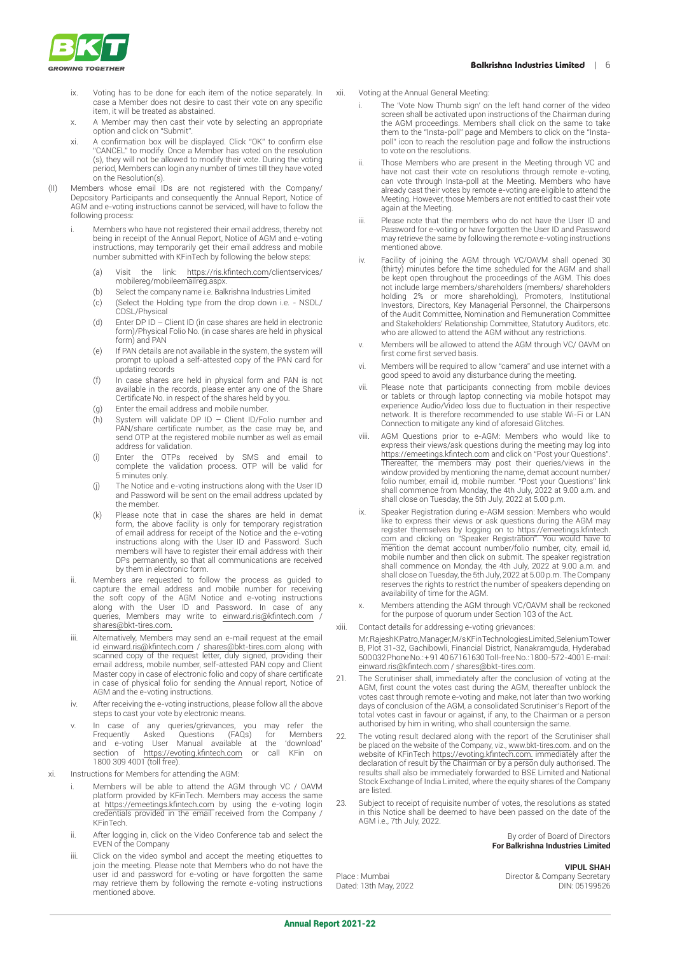

- ix. Voting has to be done for each item of the notice separately. In case a Member does not desire to cast their vote on any specific item, it will be treated as abstained.
- x. A Member may then cast their vote by selecting an appropriate option and click on "Submit".
- xi. A confirmation box will be displayed. Click "OK" to confirm else "CANCEL" to modify. Once a Member has voted on the resolution (s), they will not be allowed to modify their vote. During the voting period, Members can login any number of times till they have voted on the Resolution(s).
- (II) Members whose email IDs are not registered with the Company/ Depository Participants and consequently the Annual Report, Notice of AGM and e-voting instructions cannot be serviced, will have to follow the following process:
	- i. Members who have not registered their email address, thereby not being in receipt of the Annual Report, Notice of AGM and e-voting instructions, may temporarily get their email address and mobile number submitted with KFinTech by following the below steps:
		- (a) Visit the link: https://ris.kfintech.com/clientservices/ mobilereg/mobileemailreg.aspx.
		- (b) Select the company name i.e. Balkrishna Industries Limited
		- (c) (Select the Holding type from the drop down i.e. NSDL/ CDSL/Physical
		- (d) Enter DP ID Client ID (in case shares are held in electronic form)/Physical Folio No. (in case shares are held in physical form) and PAN
		- (e) If PAN details are not available in the system, the system will prompt to upload a self-attested copy of the PAN card for updating records
		- (f) In case shares are held in physical form and PAN is not available in the records, please enter any one of the Share Certificate No. in respect of the shares held by you.
		- (g) Enter the email address and mobile number.
		- (h) System will validate DP ID Client ID/Folio number and PAN/share certificate number, as the case may be, and send OTP at the registered mobile number as well as email address for validation.
		- (i) Enter the OTPs received by SMS and email to complete the validation process. OTP will be valid for 5 minutes only.
		- (j) The Notice and e-voting instructions along with the User ID and Password will be sent on the email address updated by the member.
		- (k) Please note that in case the shares are held in demat form, the above facility is only for temporary registration of email address for receipt of the Notice and the e-voting instructions along with the User ID and Password. Such members will have to register their email address with their DPs permanently, so that all communications are received by them in electronic form.
	- ii. Members are requested to follow the process as guided to capture the email address and mobile number for receiving the soft copy of the AGM Notice and e-voting instructions along with the User ID and Password. In case of any queries, Members may write to einward.ris@kfintech.com / shares@bkt-tires.com.
	- iii. Alternatively, Members may send an e-mail request at the email id einward.ris@kfintech.com / shares@bkt-tires.com along with scanned copy of the request letter, duly signed, providing their email address, mobile number, self-attested PAN copy and Client Master copy in case of electronic folio and copy of share certificate in case of physical folio for sending the Annual report, Notice of AGM and the e-voting instructions.
	- iv. After receiving the e-voting instructions, please follow all the above steps to cast your vote by electronic means.
	- v. In case of any queries/grievances, you may refer the Frequently Asked Questions (FAQs) for Members and e-voting User Manual available at the 'download' section of https://evoting.kfintech.com or call KFin on 1800 309 4001 (toll free).
- xi. Instructions for Members for attending the AGM:
	- Members will be able to attend the AGM through VC / OAVM platform provided by KFinTech. Members may access the same at https://emeetings.kfintech.com by using the e-voting login credentials provided in the email received from the Company / KFinTech.
	- ii. After logging in, click on the Video Conference tab and select the EVEN of the Company
	- iii. Click on the video symbol and accept the meeting etiquettes to join the meeting. Please note that Members who do not have the user id and password for e-voting or have forgotten the same may retrieve them by following the remote e-voting instructions mentioned above.
- xii. Voting at the Annual General Meeting:
	- i. The 'Vote Now Thumb sign' on the left hand corner of the video screen shall be activated upon instructions of the Chairman during the AGM proceedings. Members shall click on the same to take them to the "Insta-poll" page and Members to click on the "Instapoll" icon to reach the resolution page and follow the instructions to vote on the resolutions.
	- ii. Those Members who are present in the Meeting through VC and have not cast their vote on resolutions through remote e-voting, can vote through Insta-poll at the Meeting. Members who have already cast their votes by remote e-voting are eligible to attend the Meeting. However, those Members are not entitled to cast their vote again at the Meeting.
	- iii. Please note that the members who do not have the User ID and Password for e-voting or have forgotten the User ID and Password may retrieve the same by following the remote e-voting instructions mentioned above.
	- iv. Facility of joining the AGM through VC/OAVM shall opened 30 (thirty) minutes before the time scheduled for the AGM and shall be kept open throughout the proceedings of the AGM. This does not include large members/shareholders (members/ shareholders holding 2% or more shareholding), Promoters, Institutional Investors, Directors, Key Managerial Personnel, the Chairpersons of the Audit Committee, Nomination and Remuneration Committee and Stakeholders' Relationship Committee, Statutory Auditors, etc. who are allowed to attend the AGM without any restrictions.
	- v. Members will be allowed to attend the AGM through VC/ OAVM on first come first served basis.
	- vi. Members will be required to allow "camera" and use internet with a good speed to avoid any disturbance during the meeting.
	- vii. Please note that participants connecting from mobile devices or tablets or through laptop connecting via mobile hotspot may experience Audio/Video loss due to fluctuation in their respective network. It is therefore recommended to use stable Wi-Fi or LAN Connection to mitigate any kind of aforesaid Glitches.
	- viii. AGM Questions prior to e-AGM: Members who would like to express their views/ask questions during the meeting may log into https://emeetings.kfintech.com and click on "Post your Questions". Thereafter, the members may post their queries/views in the window provided by mentioning the name, demat account number/ folio number, email id, mobile number. "Post your Questions" link shall commence from Monday, the 4th July, 2022 at 9.00 a.m. and shall close on Tuesday, the 5th July, 2022 at 5.00 p.m.
	- Speaker Registration during e-AGM session: Members who would like to express their views or ask questions during the AGM may register themselves by logging on to https://emeetings.kfintech. com and clicking on "Speaker Registration". You would have to mention the demat account number/folio number, city, email id, mobile number and then click on submit. The speaker registration shall commence on Monday, the 4th July, 2022 at 9.00 a.m. and shall close on Tuesday, the 5th July, 2022 at 5.00 p.m. The Company reserves the rights to restrict the number of speakers depending on availability of time for the AGM.
	- x. Members attending the AGM through VC/OAVM shall be reckoned for the purpose of quorum under Section 103 of the Act.
- xiii. Contact details for addressing e-voting grievances:

Mr. Rajesh K Patro, Manager, M/s KFin Technologies Limited, Selenium Tower B, Plot 31-32, Gachibowli, Financial District, Nanakramguda, Hyderabad 500 032 Phone No.: + 91 40 67161630 Toll-free No.: 1800-572-4001 E-mail: einward.ris@kfintech.com / shares@bkt-tires.com.

- 21. The Scrutiniser shall, immediately after the conclusion of voting at the AGM, first count the votes cast during the AGM, thereafter unblock the votes cast through remote e-voting and make, not later than two working days of conclusion of the AGM, a consolidated Scrutiniser's Report of the total votes cast in favour or against, if any, to the Chairman or a person authorised by him in writing, who shall countersign the same.
- 22. The voting result declared along with the report of the Scrutiniser shall be placed on the website of the Company, viz., www.bkt-tires.com. and on the website of KFinTech https://evoting.kfintech.com. immediately after the declaration of result by the Chairman or by a person duly authorised. The results shall also be immediately forwarded to BSE Limited and National Stock Exchange of India Limited, where the equity shares of the Company are listed.
- 23. Subject to receipt of requisite number of votes, the resolutions as stated in this Notice shall be deemed to have been passed on the date of the AGM i.e., 7th July, 2022.

By order of Board of Directors **For Balkrishna Industries Limited**

**VIPUL SHAH** Place : Mumbai Director & Company Secretary Dated: 13th May, 2022 DIN: 05199526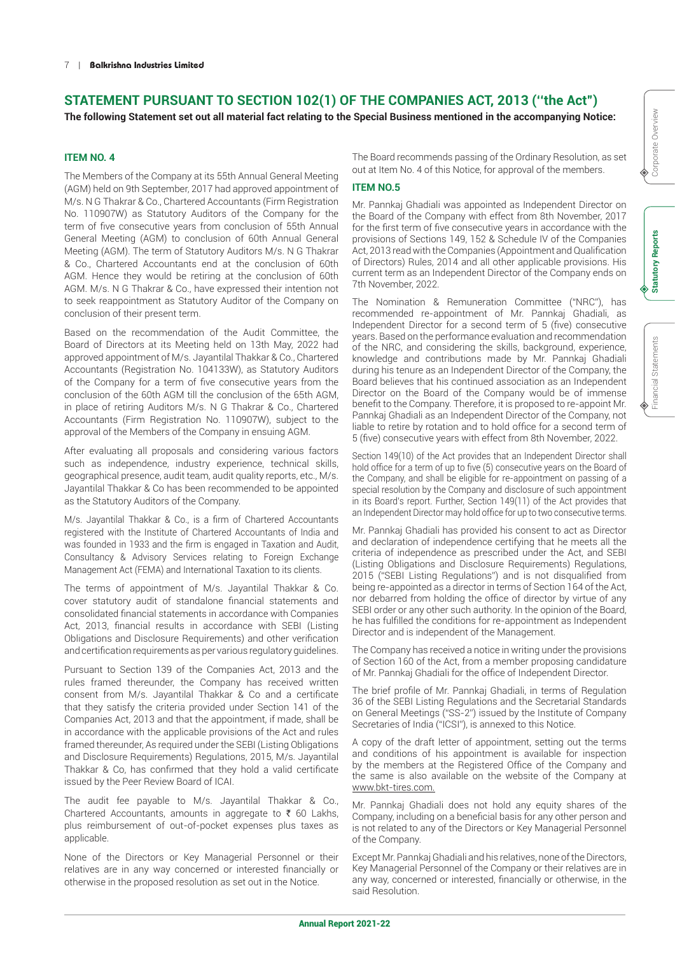# **STATEMENT PURSUANT TO SECTION 102(1) OF THE COMPANIES ACT, 2013 (''the Act")**

**The following Statement set out all material fact relating to the Special Business mentioned in the accompanying Notice:**

# **ITEM NO. 4**

The Members of the Company at its 55th Annual General Meeting (AGM) held on 9th September, 2017 had approved appointment of M/s. N G Thakrar & Co., Chartered Accountants (Firm Registration No. 110907W) as Statutory Auditors of the Company for the term of five consecutive years from conclusion of 55th Annual General Meeting (AGM) to conclusion of 60th Annual General Meeting (AGM). The term of Statutory Auditors M/s. N G Thakrar & Co., Chartered Accountants end at the conclusion of 60th AGM. Hence they would be retiring at the conclusion of 60th AGM. M/s. N G Thakrar & Co., have expressed their intention not to seek reappointment as Statutory Auditor of the Company on conclusion of their present term.

Based on the recommendation of the Audit Committee, the Board of Directors at its Meeting held on 13th May, 2022 had approved appointment of M/s. Jayantilal Thakkar & Co., Chartered Accountants (Registration No. 104133W), as Statutory Auditors of the Company for a term of five consecutive years from the conclusion of the 60th AGM till the conclusion of the 65th AGM, in place of retiring Auditors M/s. N G Thakrar & Co., Chartered Accountants (Firm Registration No. 110907W), subject to the approval of the Members of the Company in ensuing AGM.

After evaluating all proposals and considering various factors such as independence, industry experience, technical skills, geographical presence, audit team, audit quality reports, etc., M/s. Jayantilal Thakkar & Co has been recommended to be appointed as the Statutory Auditors of the Company.

M/s. Jayantilal Thakkar & Co., is a firm of Chartered Accountants registered with the Institute of Chartered Accountants of India and was founded in 1933 and the firm is engaged in Taxation and Audit, Consultancy & Advisory Services relating to Foreign Exchange Management Act (FEMA) and International Taxation to its clients.

The terms of appointment of M/s. Jayantilal Thakkar & Co. cover statutory audit of standalone financial statements and consolidated financial statements in accordance with Companies Act, 2013, financial results in accordance with SEBI (Listing Obligations and Disclosure Requirements) and other verification and certification requirements as per various regulatory guidelines.

Pursuant to Section 139 of the Companies Act, 2013 and the rules framed thereunder, the Company has received written consent from M/s. Jayantilal Thakkar & Co and a certificate that they satisfy the criteria provided under Section 141 of the Companies Act, 2013 and that the appointment, if made, shall be in accordance with the applicable provisions of the Act and rules framed thereunder, As required under the SEBI (Listing Obligations and Disclosure Requirements) Regulations, 2015, M/s. Jayantilal Thakkar & Co, has confirmed that they hold a valid certificate issued by the Peer Review Board of ICAI.

The audit fee payable to M/s. Jayantilal Thakkar & Co., Chartered Accountants, amounts in aggregate to  $\bar{\xi}$  60 Lakhs, plus reimbursement of out-of-pocket expenses plus taxes as applicable.

None of the Directors or Key Managerial Personnel or their relatives are in any way concerned or interested financially or otherwise in the proposed resolution as set out in the Notice.

The Board recommends passing of the Ordinary Resolution, as set out at Item No. 4 of this Notice, for approval of the members.

### **ITEM NO.5**

Mr. Pannkaj Ghadiali was appointed as Independent Director on the Board of the Company with effect from 8th November, 2017 for the first term of five consecutive years in accordance with the provisions of Sections 149, 152 & Schedule IV of the Companies Act, 2013 read with the Companies (Appointment and Qualification of Directors) Rules, 2014 and all other applicable provisions. His current term as an Independent Director of the Company ends on 7th November, 2022.

The Nomination & Remuneration Committee ("NRC"), has recommended re-appointment of Mr. Pannkaj Ghadiali, as Independent Director for a second term of 5 (five) consecutive years. Based on the performance evaluation and recommendation of the NRC, and considering the skills, background, experience, knowledge and contributions made by Mr. Pannkaj Ghadiali during his tenure as an Independent Director of the Company, the Board believes that his continued association as an Independent Director on the Board of the Company would be of immense benefit to the Company. Therefore, it is proposed to re-appoint Mr. Pannkaj Ghadiali as an Independent Director of the Company, not liable to retire by rotation and to hold office for a second term of 5 (five) consecutive years with effect from 8th November, 2022.

Section 149(10) of the Act provides that an Independent Director shall hold office for a term of up to five (5) consecutive years on the Board of the Company, and shall be eligible for re-appointment on passing of a special resolution by the Company and disclosure of such appointment in its Board's report. Further, Section 149(11) of the Act provides that an Independent Director may hold office for up to two consecutive terms.

Mr. Pannkaj Ghadiali has provided his consent to act as Director and declaration of independence certifying that he meets all the criteria of independence as prescribed under the Act, and SEBI (Listing Obligations and Disclosure Requirements) Regulations, 2015 ("SEBI Listing Regulations") and is not disqualified from being re-appointed as a director in terms of Section 164 of the Act, nor debarred from holding the office of director by virtue of any SEBI order or any other such authority. In the opinion of the Board, he has fulfilled the conditions for re-appointment as Independent Director and is independent of the Management.

The Company has received a notice in writing under the provisions of Section 160 of the Act, from a member proposing candidature of Mr. Pannkaj Ghadiali for the office of Independent Director.

The brief profile of Mr. Pannkaj Ghadiali, in terms of Regulation 36 of the SEBI Listing Regulations and the Secretarial Standards on General Meetings ("SS-2") issued by the Institute of Company Secretaries of India ("ICSI"), is annexed to this Notice.

A copy of the draft letter of appointment, setting out the terms and conditions of his appointment is available for inspection by the members at the Registered Office of the Company and the same is also available on the website of the Company at www.bkt-tires.com.

Mr. Pannkaj Ghadiali does not hold any equity shares of the Company, including on a beneficial basis for any other person and is not related to any of the Directors or Key Managerial Personnel of the Company.

Except Mr. Pannkaj Ghadiali and his relatives, none of the Directors, Key Managerial Personnel of the Company or their relatives are in any way, concerned or interested, financially or otherwise, in the said Resolution.